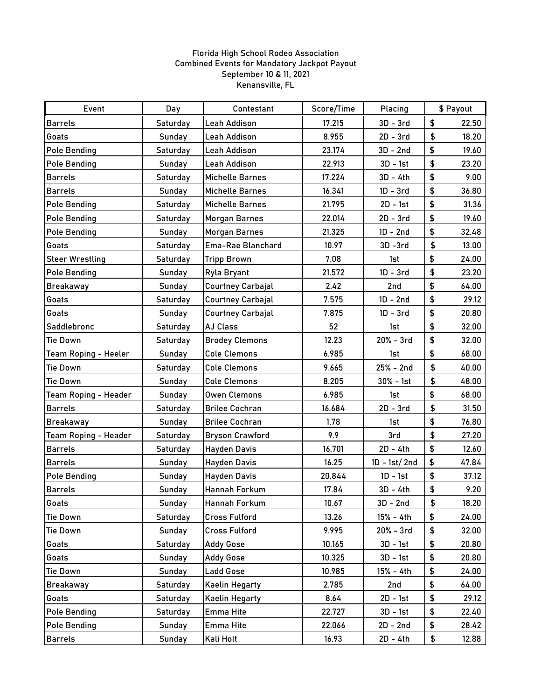## Florida High School Rodeo Association Combined Events for Mandatory Jackpot Payout September 10 & 11, 2021 Kenansville, FL

| Event                       | Day      | Contestant               | Score/Time | Placing        | \$ Payout |       |
|-----------------------------|----------|--------------------------|------------|----------------|-----------|-------|
| <b>Barrels</b>              | Saturday | Leah Addison             | 17.215     | $3D - 3rd$     | \$        | 22.50 |
| Goats                       | Sunday   | Leah Addison             | 8.955      | $2D - 3rd$     | \$        | 18.20 |
| <b>Pole Bending</b>         | Saturday | Leah Addison             | 23.174     | $3D - 2nd$     | \$        | 19.60 |
| <b>Pole Bending</b>         | Sunday   | Leah Addison             | 22.913     | 3D - 1st       | \$        | 23.20 |
| <b>Barrels</b>              | Saturday | <b>Michelle Barnes</b>   | 17.224     | $3D - 4th$     | \$        | 9.00  |
| <b>Barrels</b>              | Sunday   | <b>Michelle Barnes</b>   | 16.341     | $1D - 3rd$     | \$        | 36.80 |
| <b>Pole Bending</b>         | Saturday | Michelle Barnes          | 21.795     | $2D - 1st$     | \$        | 31.36 |
| <b>Pole Bending</b>         | Saturday | <b>Morgan Barnes</b>     | 22.014     | $2D - 3rd$     | \$        | 19.60 |
| <b>Pole Bending</b>         | Sunday   | <b>Morgan Barnes</b>     | 21.325     | $1D - 2nd$     | \$        | 32.48 |
| Goats                       | Saturday | Ema-Rae Blanchard        | 10.97      | $3D - 3rd$     | \$        | 13.00 |
| <b>Steer Wrestling</b>      | Saturday | <b>Tripp Brown</b>       | 7.08       | 1st            | \$        | 24.00 |
| <b>Pole Bending</b>         | Sunday   | Ryla Bryant              | 21.572     | $1D - 3rd$     | \$        | 23.20 |
| <b>Breakaway</b>            | Sunday   | <b>Courtney Carbajal</b> | 2.42       | 2nd            | \$        | 64.00 |
| Goats                       | Saturday | <b>Courtney Carbajal</b> | 7.575      | $1D - 2nd$     | \$        | 29.12 |
| Goats                       | Sunday   | <b>Courtney Carbajal</b> | 7.875      | $1D - 3rd$     | \$        | 20.80 |
| Saddlebronc                 | Saturday | <b>AJ Class</b>          | 52         | 1st            | \$        | 32.00 |
| Tie Down                    | Saturday | <b>Brodey Clemons</b>    | 12.23      | $20% - 3rd$    | \$        | 32.00 |
| <b>Team Roping - Heeler</b> | Sunday   | <b>Cole Clemons</b>      | 6.985      | 1st            | \$        | 68.00 |
| <b>Tie Down</b>             | Saturday | <b>Cole Clemons</b>      | 9.665      | 25% - 2nd      | \$        | 40.00 |
| <b>Tie Down</b>             | Sunday   | <b>Cole Clemons</b>      | 8.205      | $30% - 1st$    | \$        | 48.00 |
| <b>Team Roping - Header</b> | Sunday   | <b>Owen Clemons</b>      | 6.985      | 1st            | \$        | 68.00 |
| <b>Barrels</b>              | Saturday | <b>Brilee Cochran</b>    | 16.684     | $2D - 3rd$     | \$        | 31.50 |
| <b>Breakaway</b>            | Sunday   | <b>Brilee Cochran</b>    | 1.78       | 1st            | \$        | 76.80 |
| Team Roping - Header        | Saturday | <b>Bryson Crawford</b>   | 9.9        | 3rd            | \$        | 27.20 |
| <b>Barrels</b>              | Saturday | <b>Hayden Davis</b>      | 16.701     | 2D - 4th       | \$        | 12.60 |
| <b>Barrels</b>              | Sunday   | <b>Hayden Davis</b>      | 16.25      | $1D - 1st/2nd$ | \$        | 47.84 |
| <b>Pole Bending</b>         | Sunday   | <b>Hayden Davis</b>      | 20.844     | $1D - 1st$     | \$        | 37.12 |
| <b>Barrels</b>              | Sunday   | Hannah Forkum            | 17.84      | 3D - 4th       | \$        | 9.20  |
| Goats                       | Sunday   | Hannah Forkum            | 10.67      | $3D - 2nd$     | \$        | 18.20 |
| <b>Tie Down</b>             | Saturday | <b>Cross Fulford</b>     | 13.26      | 15% - 4th      | \$        | 24.00 |
| <b>Tie Down</b>             | Sunday   | <b>Cross Fulford</b>     | 9.995      | $20% - 3rd$    | \$        | 32.00 |
| Goats                       | Saturday | <b>Addy Gose</b>         | 10.165     | $3D - 1st$     | \$        | 20.80 |
| Goats                       | Sunday   | <b>Addy Gose</b>         | 10.325     | 3D - 1st       | \$        | 20.80 |
| <b>Tie Down</b>             | Sunday   | <b>Ladd Gose</b>         | 10.985     | 15% - 4th      | \$        | 24.00 |
| <b>Breakaway</b>            | Saturday | <b>Kaelin Hegarty</b>    | 2.785      | 2nd            | \$        | 64.00 |
| Goats                       | Saturday | <b>Kaelin Hegarty</b>    | 8.64       | 2D - 1st       | \$        | 29.12 |
| <b>Pole Bending</b>         | Saturday | Emma Hite                | 22.727     | $3D - 1st$     | \$        | 22.40 |
| <b>Pole Bending</b>         | Sunday   | Emma Hite                | 22.066     | $2D - 2nd$     | \$        | 28.42 |
| <b>Barrels</b>              | Sunday   | Kali Holt                | 16.93      | 2D - 4th       | \$        | 12.88 |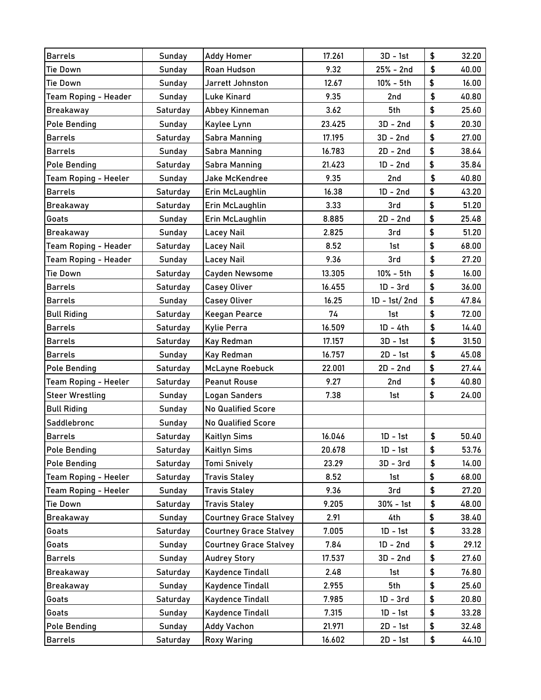| <b>Barrels</b>              | Sunday        | <b>Addy Homer</b>             | 17.261 | $3D - 1st$     | \$         | 32.20 |
|-----------------------------|---------------|-------------------------------|--------|----------------|------------|-------|
| <b>Tie Down</b>             | Sunday        | Roan Hudson                   | 9.32   | $25% - 2nd$    | \$         | 40.00 |
| <b>Tie Down</b>             | Sunday        | Jarrett Johnston              | 12.67  | 10% - 5th      | \$         | 16.00 |
| Team Roping - Header        | Sunday        | <b>Luke Kinard</b>            | 9.35   | 2nd            | \$         | 40.80 |
| <b>Breakaway</b>            | Saturday      | Abbey Kinneman                | 3.62   | 5th            | \$         | 25.60 |
| <b>Pole Bending</b>         | Sunday        | Kaylee Lynn                   | 23.425 | $3D - 2nd$     | \$         | 20.30 |
| <b>Barrels</b>              | Saturday      | <b>Sabra Manning</b>          | 17.195 | $3D - 2nd$     | \$         | 27.00 |
| <b>Barrels</b>              | Sunday        | <b>Sabra Manning</b>          | 16.783 | $2D - 2nd$     | \$         | 38.64 |
| <b>Pole Bending</b>         | Saturday      | <b>Sabra Manning</b>          | 21.423 | $1D - 2nd$     | \$         | 35.84 |
| Team Roping - Heeler        | Sunday        | <b>Jake McKendree</b>         | 9.35   | 2nd            | \$         | 40.80 |
| <b>Barrels</b>              | Saturday      | Erin McLaughlin               | 16.38  | $1D - 2nd$     | \$         | 43.20 |
| <b>Breakaway</b>            | Saturday      | Erin McLaughlin               | 3.33   | 3rd            | \$         | 51.20 |
| Goats                       | Sunday        | Erin McLaughlin               | 8.885  | $2D - 2nd$     | \$         | 25.48 |
| <b>Breakaway</b>            | Sunday        | Lacey Nail                    | 2.825  | 3rd            | \$         | 51.20 |
| Team Roping - Header        | Saturday      | <b>Lacey Nail</b>             | 8.52   | 1st            | \$         | 68.00 |
| Team Roping - Header        | Sunday        | Lacey Nail                    | 9.36   | 3rd            | \$         | 27.20 |
| <b>Tie Down</b>             | Saturday      | <b>Cayden Newsome</b>         | 13.305 | 10% - 5th      | \$         | 16.00 |
| <b>Barrels</b>              | Saturday      | <b>Casey Oliver</b>           | 16.455 | $1D - 3rd$     | \$         | 36.00 |
| <b>Barrels</b>              | Sunday        | <b>Casey Oliver</b>           | 16.25  | $1D - 1st/2nd$ | \$         | 47.84 |
| <b>Bull Riding</b>          | Saturday      | <b>Keegan Pearce</b>          | 74     | 1st            | \$         | 72.00 |
| <b>Barrels</b>              | Saturday      | <b>Kylie Perra</b>            | 16.509 | $1D - 4th$     | \$         | 14.40 |
| <b>Barrels</b>              | Saturday      | Kay Redman                    | 17.157 | $3D - 1st$     | $\pmb{\$}$ | 31.50 |
| <b>Barrels</b>              | <b>Sunday</b> | Kay Redman                    | 16.757 | $2D - 1st$     | \$         | 45.08 |
| <b>Pole Bending</b>         | Saturday      | <b>McLayne Roebuck</b>        | 22.001 | $2D - 2nd$     | \$         | 27.44 |
| <b>Team Roping - Heeler</b> | Saturday      | <b>Peanut Rouse</b>           | 9.27   | 2nd            | \$         | 40.80 |
| <b>Steer Wrestling</b>      | Sunday        | Logan Sanders                 | 7.38   | 1st            | \$         | 24.00 |
| <b>Bull Riding</b>          | Sunday        | <b>No Qualified Score</b>     |        |                |            |       |
| Saddlebronc                 | Sunday        | <b>No Qualified Score</b>     |        |                |            |       |
| <b>Barrels</b>              | Saturday      | <b>Kaitlyn Sims</b>           | 16.046 | $1D - 1st$     | \$         | 50.40 |
| <b>Pole Bending</b>         | Saturday      | <b>Kaitlyn Sims</b>           | 20.678 | $1D - 1st$     | \$         | 53.76 |
| <b>Pole Bending</b>         | Saturday      | Tomi Snively                  | 23.29  | $3D - 3rd$     | \$         | 14.00 |
| Team Roping - Heeler        | Saturday      | <b>Travis Staley</b>          | 8.52   | 1st            | \$         | 68.00 |
| <b>Team Roping - Heeler</b> | Sunday        | <b>Travis Staley</b>          | 9.36   | 3rd            | \$         | 27.20 |
| Tie Down                    | Saturday      | <b>Travis Staley</b>          | 9.205  | $30% - 1st$    | \$         | 48.00 |
| <b>Breakaway</b>            | Sunday        | <b>Courtney Grace Stalvey</b> | 2.91   | 4th            | \$         | 38.40 |
| Goats                       | Saturday      | <b>Courtney Grace Stalvey</b> | 7.005  | $1D - 1st$     | \$         | 33.28 |
| Goats                       | Sunday        | <b>Courtney Grace Stalvey</b> | 7.84   | $1D - 2nd$     | \$         | 29.12 |
| <b>Barrels</b>              | Sunday        | <b>Audrey Story</b>           | 17.537 | $3D - 2nd$     | \$         | 27.60 |
| <b>Breakaway</b>            | Saturday      | <b>Kaydence Tindall</b>       | 2.48   | 1st            | \$         | 76.80 |
| Breakaway                   | Sunday        | <b>Kaydence Tindall</b>       | 2.955  | 5th            | \$         | 25.60 |
| Goats                       | Saturday      | <b>Kaydence Tindall</b>       | 7.985  | $1D - 3rd$     | \$         | 20.80 |
| Goats                       | Sunday        | <b>Kaydence Tindall</b>       | 7.315  | $1D - 1st$     | \$         | 33.28 |
| <b>Pole Bending</b>         | Sunday        | <b>Addy Vachon</b>            | 21.971 | $2D - 1st$     | \$         | 32.48 |
| <b>Barrels</b>              | Saturday      | <b>Roxy Waring</b>            | 16.602 | 2D - 1st       | \$         | 44.10 |
|                             |               |                               |        |                |            |       |